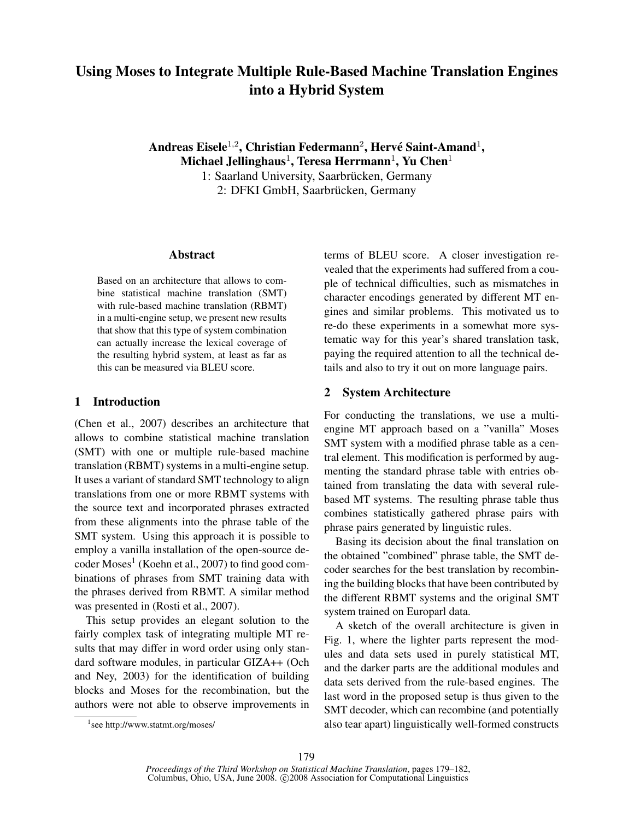# Using Moses to Integrate Multiple Rule-Based Machine Translation Engines into a Hybrid System

Andreas Eisele $^{1,2}$ , Christian Federmann $^2$ , Hervé Saint-Amand $^1$ , Michael Jellinghaus $^1$ , Teresa Herrmann $^1$ , Yu Chen $^1$ 1: Saarland University, Saarbrücken, Germany 2: DFKI GmbH, Saarbrücken, Germany

#### Abstract

Based on an architecture that allows to combine statistical machine translation (SMT) with rule-based machine translation (RBMT) in a multi-engine setup, we present new results that show that this type of system combination can actually increase the lexical coverage of the resulting hybrid system, at least as far as this can be measured via BLEU score.

#### 1 Introduction

(Chen et al., 2007) describes an architecture that allows to combine statistical machine translation (SMT) with one or multiple rule-based machine translation (RBMT) systems in a multi-engine setup. It uses a variant of standard SMT technology to align translations from one or more RBMT systems with the source text and incorporated phrases extracted from these alignments into the phrase table of the SMT system. Using this approach it is possible to employ a vanilla installation of the open-source de- $\mathrm{coder}\ \mathrm{Moses}^{1}\ (\mathrm{Koehn}\ \mathrm{et}\ \mathrm{al.}, 2007)$  to find  $\mathrm{good}\ \mathrm{com}$ binations of phrases from SMT training data with the phrases derived from RBMT. A similar method was presented in (Rosti et al., 2007).

This setup provides an elegant solution to the fairly complex task of integrating multiple MT results that may differ in word order using only standard software modules, in particular GIZA++ (Och and Ney, 2003) for the identification of building blocks and Moses for the recombination, but the authors were not able to observe improvements in

terms of BLEU score. A closer investigation revealed that the experiments had suffered from a couple of technical difficulties, such as mismatches in character encodings generated by different MT engines and similar problems. This motivated us to re-do these experiments in a somewhat more systematic way for this year's shared translation task, paying the required attention to all the technical details and also to try it out on more language pairs.

#### 2 System Architecture

For conducting the translations, we use a multiengine MT approach based on a "vanilla" Moses SMT system with a modified phrase table as a central element. This modification is performed by augmenting the standard phrase table with entries obtained from translating the data with several rulebased MT systems. The resulting phrase table thus combines statistically gathered phrase pairs with phrase pairs generated by linguistic rules.

Basing its decision about the final translation on the obtained "combined" phrase table, the SMT decoder searches for the best translation by recombining the building blocks that have been contributed by the different RBMT systems and the original SMT system trained on Europarl data.

A sketch of the overall architecture is given in Fig. 1, where the lighter parts represent the modules and data sets used in purely statistical MT, and the darker parts are the additional modules and data sets derived from the rule-based engines. The last word in the proposed setup is thus given to the SMT decoder, which can recombine (and potentially also tear apart) linguistically well-formed constructs

<sup>1</sup> see http://www.statmt.org/moses/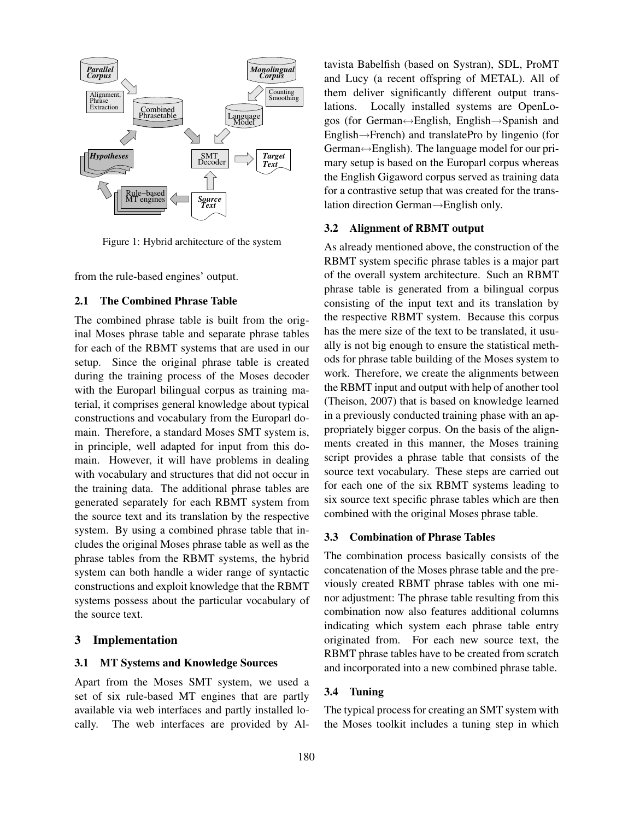

Figure 1: Hybrid architecture of the system

from the rule-based engines' output.

## 2.1 The Combined Phrase Table

The combined phrase table is built from the original Moses phrase table and separate phrase tables for each of the RBMT systems that are used in our setup. Since the original phrase table is created during the training process of the Moses decoder with the Europarl bilingual corpus as training material, it comprises general knowledge about typical constructions and vocabulary from the Europarl domain. Therefore, a standard Moses SMT system is, in principle, well adapted for input from this domain. However, it will have problems in dealing with vocabulary and structures that did not occur in the training data. The additional phrase tables are generated separately for each RBMT system from the source text and its translation by the respective system. By using a combined phrase table that includes the original Moses phrase table as well as the phrase tables from the RBMT systems, the hybrid system can both handle a wider range of syntactic constructions and exploit knowledge that the RBMT systems possess about the particular vocabulary of the source text.

### 3 Implementation

#### 3.1 MT Systems and Knowledge Sources

Apart from the Moses SMT system, we used a set of six rule-based MT engines that are partly available via web interfaces and partly installed locally. The web interfaces are provided by Altavista Babelfish (based on Systran), SDL, ProMT and Lucy (a recent offspring of METAL). All of them deliver significantly different output translations. Locally installed systems are OpenLogos (for German↔English, English→Spanish and English→French) and translatePro by lingenio (for German↔English). The language model for our primary setup is based on the Europarl corpus whereas the English Gigaword corpus served as training data for a contrastive setup that was created for the translation direction German→English only.

#### 3.2 Alignment of RBMT output

As already mentioned above, the construction of the RBMT system specific phrase tables is a major part of the overall system architecture. Such an RBMT phrase table is generated from a bilingual corpus consisting of the input text and its translation by the respective RBMT system. Because this corpus has the mere size of the text to be translated, it usually is not big enough to ensure the statistical methods for phrase table building of the Moses system to work. Therefore, we create the alignments between the RBMT input and output with help of another tool (Theison, 2007) that is based on knowledge learned in a previously conducted training phase with an appropriately bigger corpus. On the basis of the alignments created in this manner, the Moses training script provides a phrase table that consists of the source text vocabulary. These steps are carried out for each one of the six RBMT systems leading to six source text specific phrase tables which are then combined with the original Moses phrase table.

### 3.3 Combination of Phrase Tables

The combination process basically consists of the concatenation of the Moses phrase table and the previously created RBMT phrase tables with one minor adjustment: The phrase table resulting from this combination now also features additional columns indicating which system each phrase table entry originated from. For each new source text, the RBMT phrase tables have to be created from scratch and incorporated into a new combined phrase table.

#### 3.4 Tuning

The typical process for creating an SMT system with the Moses toolkit includes a tuning step in which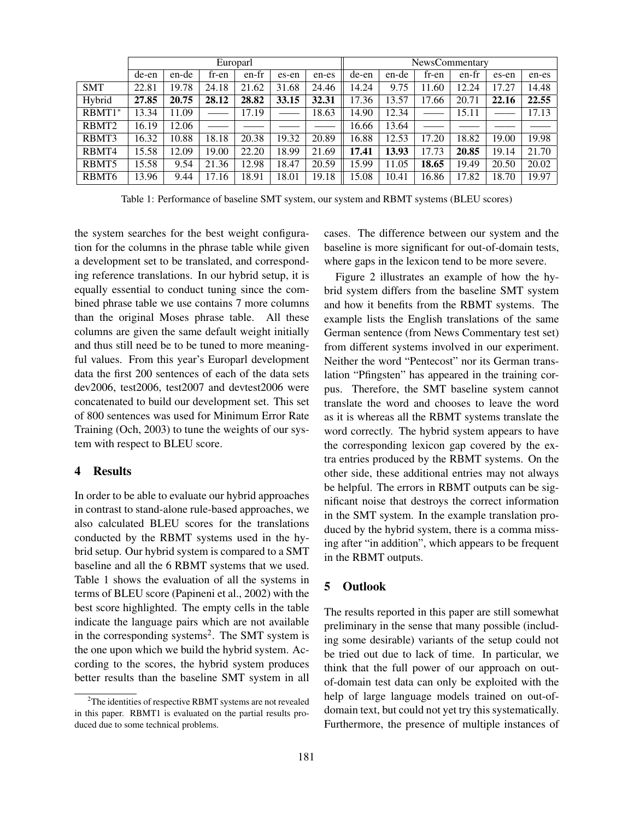|                   | Europarl |       |       |       |       |       |       | <b>NewsCommentary</b> |       |       |       |       |  |
|-------------------|----------|-------|-------|-------|-------|-------|-------|-----------------------|-------|-------|-------|-------|--|
|                   | de-en    | en-de | fr-en | en-fr | es-en | en-es | de-en | en-de                 | fr-en | en-fr | es-en | en-es |  |
| <b>SMT</b>        | 22.81    | 19.78 | 24.18 | 21.62 | 31.68 | 24.46 | 14.24 | 9.75                  | 11.60 | 12.24 | 17.27 | 14.48 |  |
| Hybrid            | 27.85    | 20.75 | 28.12 | 28.82 | 33.15 | 32.31 | 17.36 | 13.57                 | 17.66 | 20.71 | 22.16 | 22.55 |  |
| $RBMT1*$          | 13.34    | 11.09 |       | 17.19 |       | 18.63 | 14.90 | 12.34                 |       | 15.11 |       | 17.13 |  |
| RBMT <sub>2</sub> | 16.19    | 12.06 |       |       |       |       | 16.66 | 13.64                 |       |       |       |       |  |
| RBMT3             | 16.32    | 10.88 | 18.18 | 20.38 | 19.32 | 20.89 | 16.88 | 12.53                 | 17.20 | 18.82 | 19.00 | 19.98 |  |
| RBMT4             | 15.58    | 12.09 | 19.00 | 22.20 | 18.99 | 21.69 | 17.41 | 13.93                 | 17.73 | 20.85 | 19.14 | 21.70 |  |
| RBMT5             | 15.58    | 9.54  | 21.36 | 12.98 | 18.47 | 20.59 | 15.99 | 11.05                 | 18.65 | 19.49 | 20.50 | 20.02 |  |
| RBMT <sub>6</sub> | 13.96    | 9.44  | 17.16 | 18.91 | 18.01 | 19.18 | 15.08 | 10.41                 | 16.86 | 17.82 | 18.70 | 19.97 |  |

Table 1: Performance of baseline SMT system, our system and RBMT systems (BLEU scores)

the system searches for the best weight configuration for the columns in the phrase table while given a development set to be translated, and corresponding reference translations. In our hybrid setup, it is equally essential to conduct tuning since the combined phrase table we use contains 7 more columns than the original Moses phrase table. All these columns are given the same default weight initially and thus still need be to be tuned to more meaningful values. From this year's Europarl development data the first 200 sentences of each of the data sets dev2006, test2006, test2007 and devtest2006 were concatenated to build our development set. This set of 800 sentences was used for Minimum Error Rate Training (Och, 2003) to tune the weights of our system with respect to BLEU score.

#### 4 Results

In order to be able to evaluate our hybrid approaches in contrast to stand-alone rule-based approaches, we also calculated BLEU scores for the translations conducted by the RBMT systems used in the hybrid setup. Our hybrid system is compared to a SMT baseline and all the 6 RBMT systems that we used. Table 1 shows the evaluation of all the systems in terms of BLEU score (Papineni et al., 2002) with the best score highlighted. The empty cells in the table indicate the language pairs which are not available in the corresponding systems<sup>2</sup>. The SMT system is the one upon which we build the hybrid system. According to the scores, the hybrid system produces better results than the baseline SMT system in all cases. The difference between our system and the baseline is more significant for out-of-domain tests, where gaps in the lexicon tend to be more severe.

Figure 2 illustrates an example of how the hybrid system differs from the baseline SMT system and how it benefits from the RBMT systems. The example lists the English translations of the same German sentence (from News Commentary test set) from different systems involved in our experiment. Neither the word "Pentecost" nor its German translation "Pfingsten" has appeared in the training corpus. Therefore, the SMT baseline system cannot translate the word and chooses to leave the word as it is whereas all the RBMT systems translate the word correctly. The hybrid system appears to have the corresponding lexicon gap covered by the extra entries produced by the RBMT systems. On the other side, these additional entries may not always be helpful. The errors in RBMT outputs can be significant noise that destroys the correct information in the SMT system. In the example translation produced by the hybrid system, there is a comma missing after "in addition", which appears to be frequent in the RBMT outputs.

## 5 Outlook

The results reported in this paper are still somewhat preliminary in the sense that many possible (including some desirable) variants of the setup could not be tried out due to lack of time. In particular, we think that the full power of our approach on outof-domain test data can only be exploited with the help of large language models trained on out-ofdomain text, but could not yet try this systematically. Furthermore, the presence of multiple instances of

<sup>2</sup>The identities of respective RBMT systems are not revealed in this paper. RBMT1 is evaluated on the partial results produced due to some technical problems.